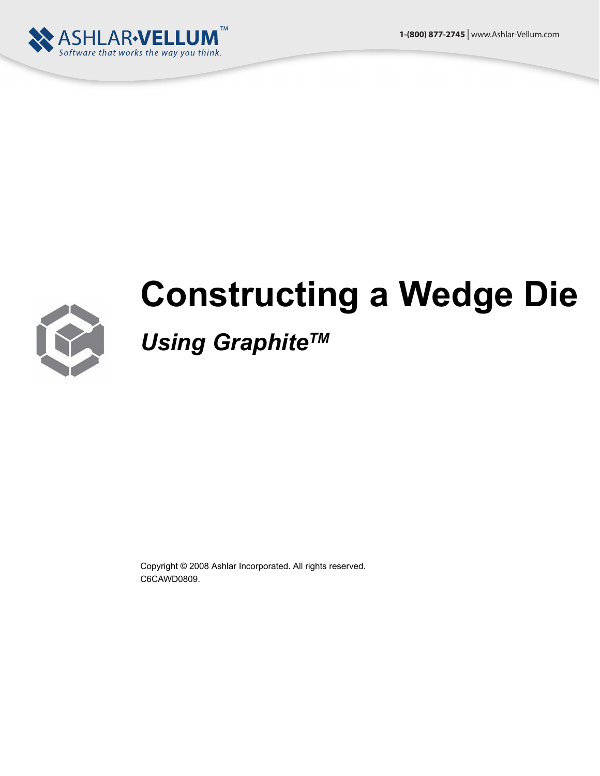



# **Constructing a Wedge Die**

## *Using Graphite™*

Copyright © 2008 Ashlar Incorporated. All rights reserved. C6CAWD0809.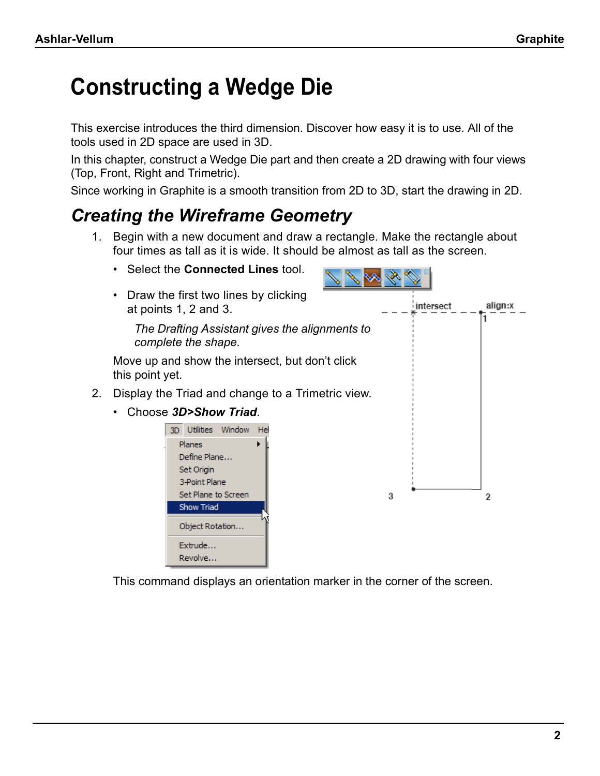## **Constructing a Wedge Die**

This exercise introduces the third dimension. Discover how easy it is to use. All of the tools used in 2D space are used in 3D.

In this chapter, construct a Wedge Die part and then create a 2D drawing with four views (Top, Front, Right and Trimetric).

Since working in Graphite is a smooth transition from 2D to 3D, start the drawing in 2D.

## *Creating the Wireframe Geometry*

- 1. Begin with a new document and draw a rectangle. Make the rectangle about four times as tall as it is wide. It should be almost as tall as the screen.
	- Select the **Connected Lines** tool.

Extrude... Revolve...

• Draw the first two lines by clicking align:x intersect at points 1, 2 and 3. ٦ *The Drafting Assistant gives the alignments to complete the shape.*  Move up and show the intersect, but don't click this point yet. 2. Display the Triad and change to a Trimetric view. • Choose *3D>Show Triad*. 3D Utilities Window Hel **Planes** ▶ Define Plane... Set Origin 3-Point Plane Set Plane to Screen 3 2 Show Triad Object Rotation...

This command displays an orientation marker in the corner of the screen.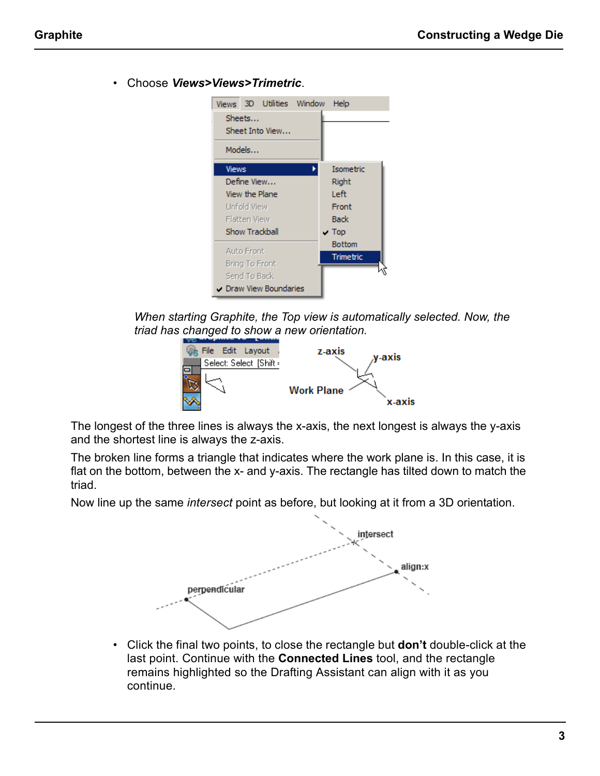

*When starting Graphite, the Top view is automatically selected. Now, the triad has changed to show a new orientation.*



The longest of the three lines is always the x-axis, the next longest is always the y-axis and the shortest line is always the z-axis.

The broken line forms a triangle that indicates where the work plane is. In this case, it is flat on the bottom, between the x- and y-axis. The rectangle has tilted down to match the triad.

Now line up the same *intersect* point as before, but looking at it from a 3D orientation.



• Click the final two points, to close the rectangle but **don't** double-click at the last point. Continue with the **Connected Lines** tool, and the rectangle remains highlighted so the Drafting Assistant can align with it as you continue.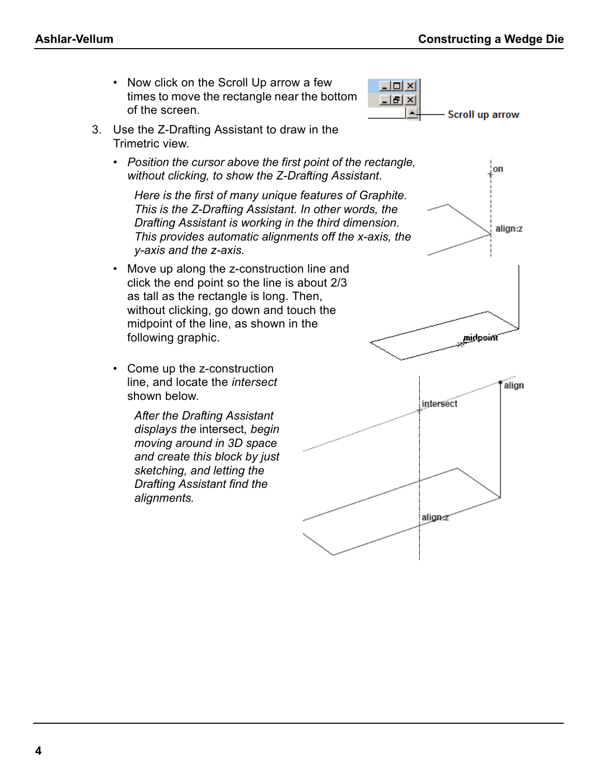• Now click on the Scroll Up arrow a few times to move the rectangle near the bottom of the screen.



- 3. Use the Z-Drafting Assistant to draw in the Trimetric view.
	- *Position the cursor above the first point of the rectangle, without clicking, to show the Z-Drafting Assistant*.

*Here is the first of many unique features of Graphite. This is the Z-Drafting Assistant. In other words, the Drafting Assistant is working in the third dimension. This provides automatic alignments off the x-axis, the y-axis and the z-axis.*

- Move up along the z-construction line and click the end point so the line is about 2/3 as tall as the rectangle is long. Then, without clicking, go down and touch the midpoint of the line, as shown in the following graphic.
- Come up the z-construction line, and locate the *intersect* shown below.

*After the Drafting Assistant displays the* intersect*, begin moving around in 3D space and create this block by just sketching, and letting the Drafting Assistant find the alignments.*

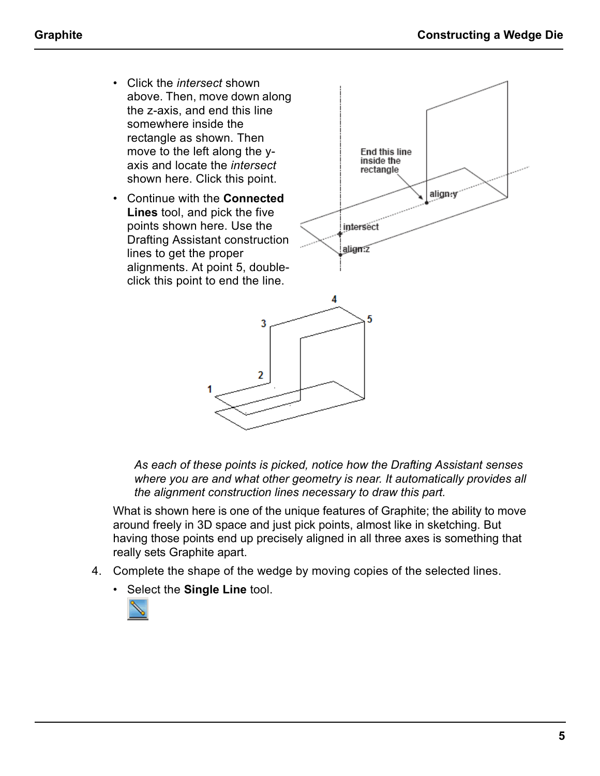- Click the *intersect* shown above. Then, move down along the z-axis, and end this line somewhere inside the rectangle as shown. Then move to the left along the yaxis and locate the *intersect* shown here. Click this point.
- Continue with the **Connected Lines** tool, and pick the five points shown here. Use the Drafting Assistant construction lines to get the proper alignments. At point 5, doubleclick this point to end the line.





*As each of these points is picked, notice how the Drafting Assistant senses where you are and what other geometry is near. It automatically provides all the alignment construction lines necessary to draw this part.*

What is shown here is one of the unique features of Graphite; the ability to move around freely in 3D space and just pick points, almost like in sketching. But having those points end up precisely aligned in all three axes is something that really sets Graphite apart.

- 4. Complete the shape of the wedge by moving copies of the selected lines.
	- Select the **Single Line** tool.

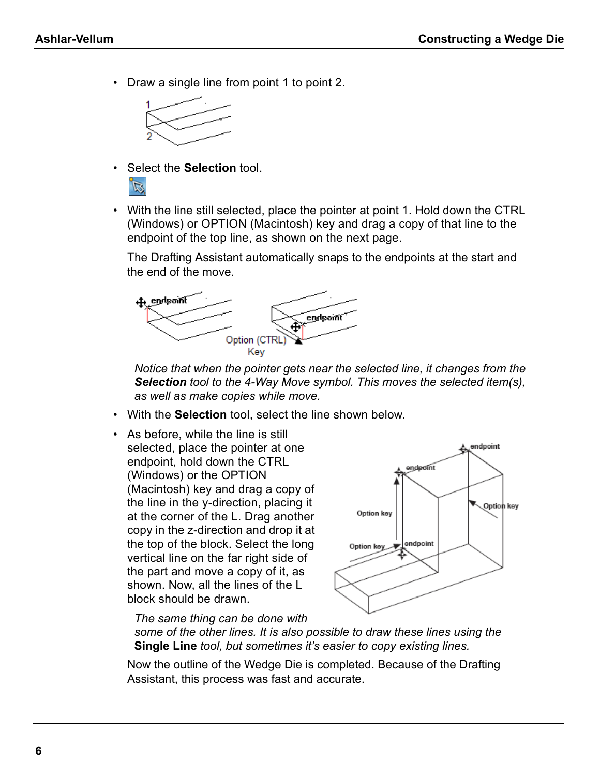• Draw a single line from point 1 to point 2.



• Select the **Selection** tool.



• With the line still selected, place the pointer at point 1. Hold down the CTRL (Windows) or OPTION (Macintosh) key and drag a copy of that line to the endpoint of the top line, as shown on the next page.

The Drafting Assistant automatically snaps to the endpoints at the start and the end of the move.



*Notice that when the pointer gets near the selected line, it changes from the Selection tool to the 4-Way Move symbol. This moves the selected item(s), as well as make copies while move.*

- With the **Selection** tool, select the line shown below.
- As before, while the line is still selected, place the pointer at one endpoint, hold down the CTRL (Windows) or the OPTION (Macintosh) key and drag a copy of the line in the y-direction, placing it at the corner of the L. Drag another copy in the z-direction and drop it at the top of the block. Select the long vertical line on the far right side of the part and move a copy of it, as shown. Now, all the lines of the L block should be drawn.



*The same thing can be done with* 

*some of the other lines. It is also possible to draw these lines using the*  **Single Line** *tool, but sometimes it's easier to copy existing lines.*

Now the outline of the Wedge Die is completed. Because of the Drafting Assistant, this process was fast and accurate.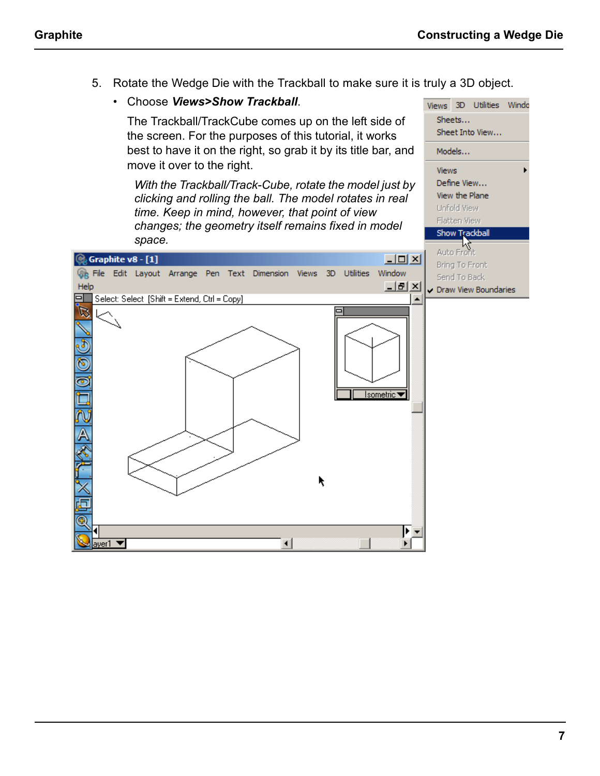5. Rotate the Wedge Die with the Trackball to make sure it is truly a 3D object.

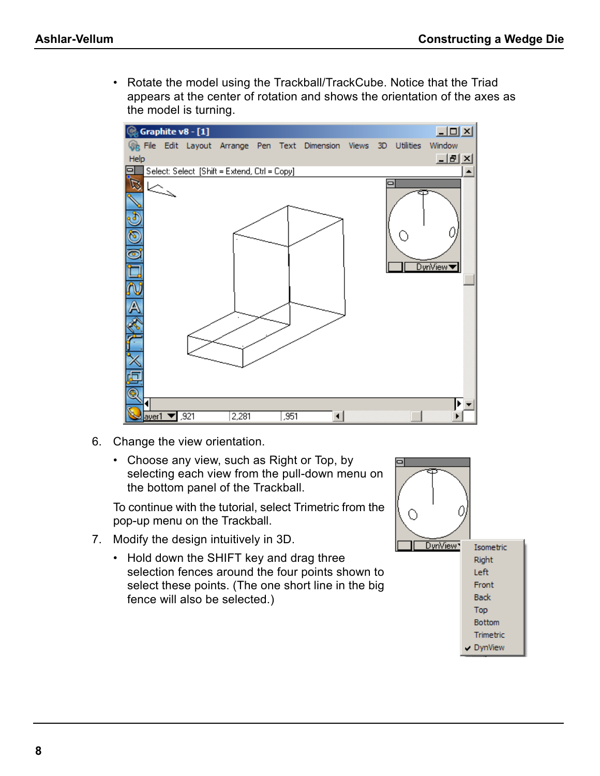• Rotate the model using the Trackball/TrackCube. Notice that the Triad appears at the center of rotation and shows the orientation of the axes as the model is turning.



- 6. Change the view orientation.
	- Choose any view, such as Right or Top, by selecting each view from the pull-down menu on the bottom panel of the Trackball.

To continue with the tutorial, select Trimetric from the pop-up menu on the Trackball.

- 7. Modify the design intuitively in 3D.
	- Hold down the SHIFT key and drag three selection fences around the four points shown to select these points. (The one short line in the big fence will also be selected.)

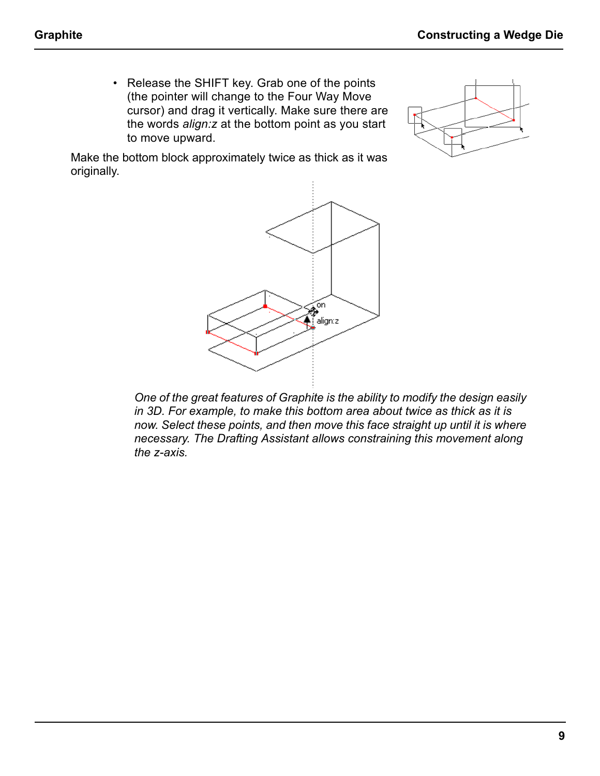• Release the SHIFT key. Grab one of the points (the pointer will change to the Four Way Move cursor) and drag it vertically. Make sure there are the words *align:z* at the bottom point as you start to move upward.



Make the bottom block approximately twice as thick as it was originally.



*One of the great features of Graphite is the ability to modify the design easily in 3D. For example, to make this bottom area about twice as thick as it is now. Select these points, and then move this face straight up until it is where necessary. The Drafting Assistant allows constraining this movement along the z-axis.*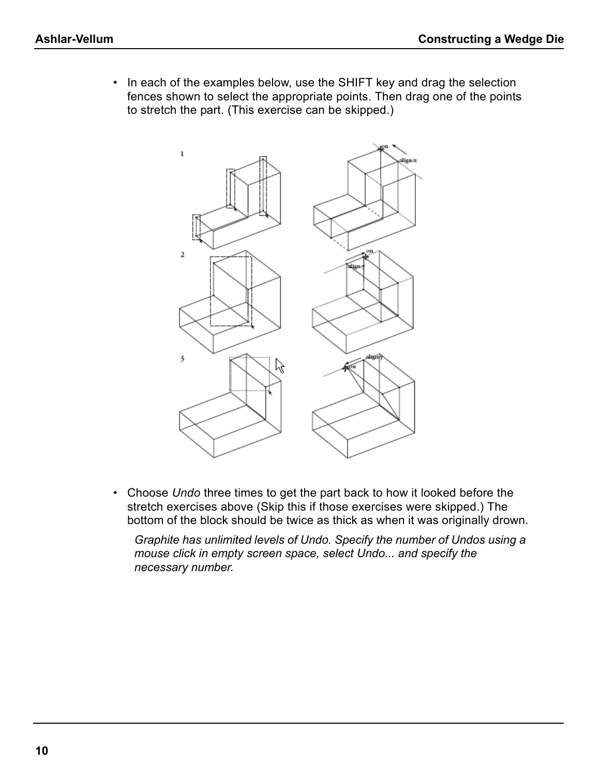• In each of the examples below, use the SHIFT key and drag the selection fences shown to select the appropriate points. Then drag one of the points to stretch the part. (This exercise can be skipped.)



• Choose *Undo* three times to get the part back to how it looked before the stretch exercises above (Skip this if those exercises were skipped.) The bottom of the block should be twice as thick as when it was originally drown.

*Graphite has unlimited levels of Undo. Specify the number of Undos using a mouse click in empty screen space, select Undo... and specify the necessary number.*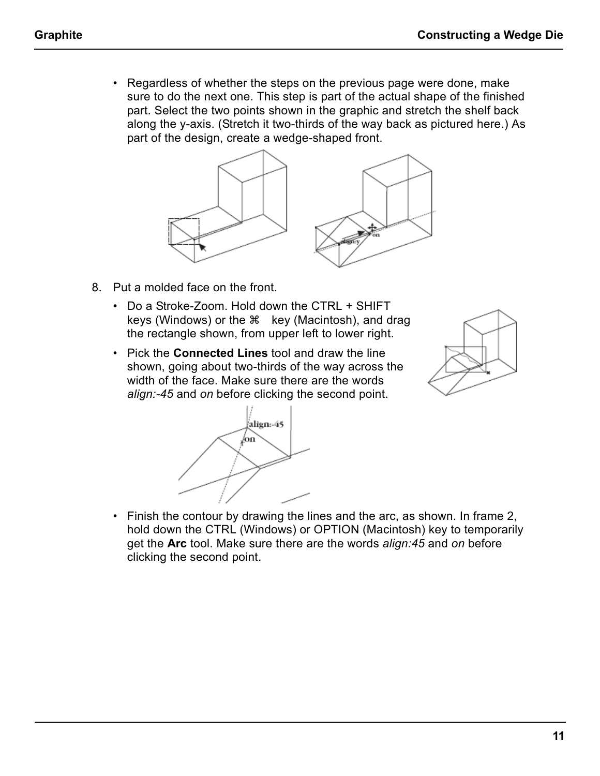• Regardless of whether the steps on the previous page were done, make sure to do the next one. This step is part of the actual shape of the finished part. Select the two points shown in the graphic and stretch the shelf back along the y-axis. (Stretch it two-thirds of the way back as pictured here.) As part of the design, create a wedge-shaped front.



- 8. Put a molded face on the front.
	- Do a Stroke-Zoom. Hold down the CTRL + SHIFT keys (Windows) or the  $\frac{1}{2}$  key (Macintosh), and drag the rectangle shown, from upper left to lower right.
	- Pick the **Connected Lines** tool and draw the line shown, going about two-thirds of the way across the width of the face. Make sure there are the words *align:-45* and *on* before clicking the second point.





• Finish the contour by drawing the lines and the arc, as shown. In frame 2, hold down the CTRL (Windows) or OPTION (Macintosh) key to temporarily get the **Arc** tool. Make sure there are the words *align:45* and *on* before clicking the second point.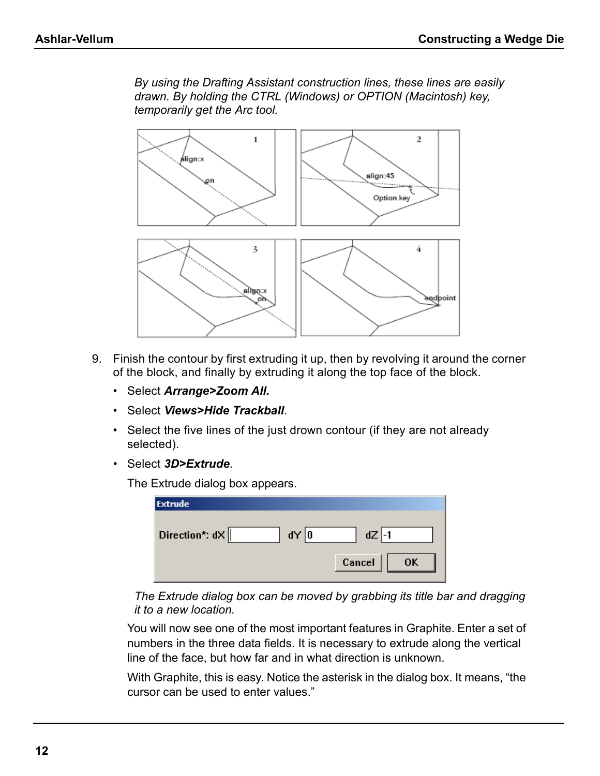*By using the Drafting Assistant construction lines, these lines are easily drawn. By holding the CTRL (Windows) or OPTION (Macintosh) key, temporarily get the Arc tool.*



- 9. Finish the contour by first extruding it up, then by revolving it around the corner of the block, and finally by extruding it along the top face of the block.
	- Select *Arrange>Zoom All.*
	- Select *Views>Hide Trackball*.
	- Select the five lines of the just drown contour (if they are not already selected).
	- Select *3D>Extrude*.

The Extrude dialog box appears.

| <b>Extrude</b>           |              |
|--------------------------|--------------|
| Direction*: $dX$<br>dY 0 | $dZ$ -1      |
|                          |              |
|                          | Cancel<br>0K |

*The Extrude dialog box can be moved by grabbing its title bar and dragging it to a new location.*

You will now see one of the most important features in Graphite. Enter a set of numbers in the three data fields. It is necessary to extrude along the vertical line of the face, but how far and in what direction is unknown.

With Graphite, this is easy. Notice the asterisk in the dialog box. It means, "the cursor can be used to enter values."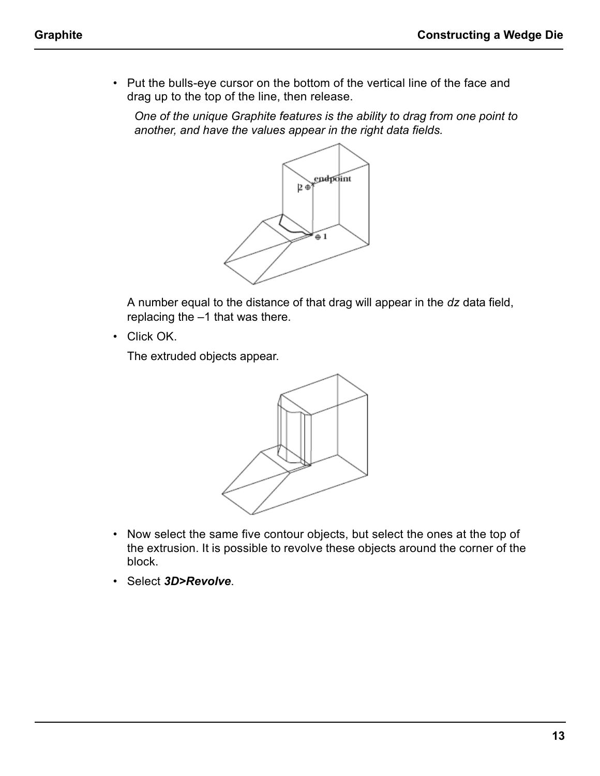• Put the bulls-eye cursor on the bottom of the vertical line of the face and drag up to the top of the line, then release.

*One of the unique Graphite features is the ability to drag from one point to another, and have the values appear in the right data fields.*



A number equal to the distance of that drag will appear in the *dz* data field, replacing the –1 that was there.

• Click OK.

The extruded objects appear.



- Now select the same five contour objects, but select the ones at the top of the extrusion. It is possible to revolve these objects around the corner of the block.
- Select *3D>Revolve*.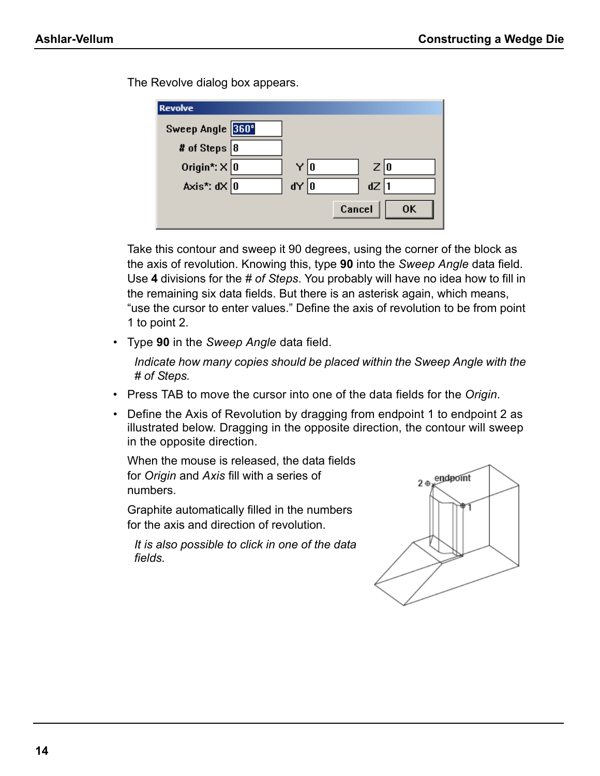The Revolve dialog box appears.

| <b>Revolve</b>      |               |        |     |    |
|---------------------|---------------|--------|-----|----|
| Sweep Angle 360°    |               |        |     |    |
| # of Steps $ 8 $    |               |        |     |    |
| Origin*: $\times$ 0 | Y   O         |        | Z 0 |    |
| Axis*: $dX$ 0       | $d \times  0$ |        | dZ  |    |
|                     |               | Cancel |     | 0K |

Take this contour and sweep it 90 degrees, using the corner of the block as the axis of revolution. Knowing this, type **90** into the *Sweep Angle* data field. Use **4** divisions for the *# of Steps*. You probably will have no idea how to fill in the remaining six data fields. But there is an asterisk again, which means, "use the cursor to enter values." Define the axis of revolution to be from point 1 to point 2.

• Type **90** in the *Sweep Angle* data field.

*Indicate how many copies should be placed within the Sweep Angle with the # of Steps.*

- Press TAB to move the cursor into one of the data fields for the *Origin*.
- Define the Axis of Revolution by dragging from endpoint 1 to endpoint 2 as illustrated below. Dragging in the opposite direction, the contour will sweep in the opposite direction.

When the mouse is released, the data fields for *Origin* and *Axis* fill with a series of numbers.

Graphite automatically filled in the numbers for the axis and direction of revolution.

*It is also possible to click in one of the data fields.* 

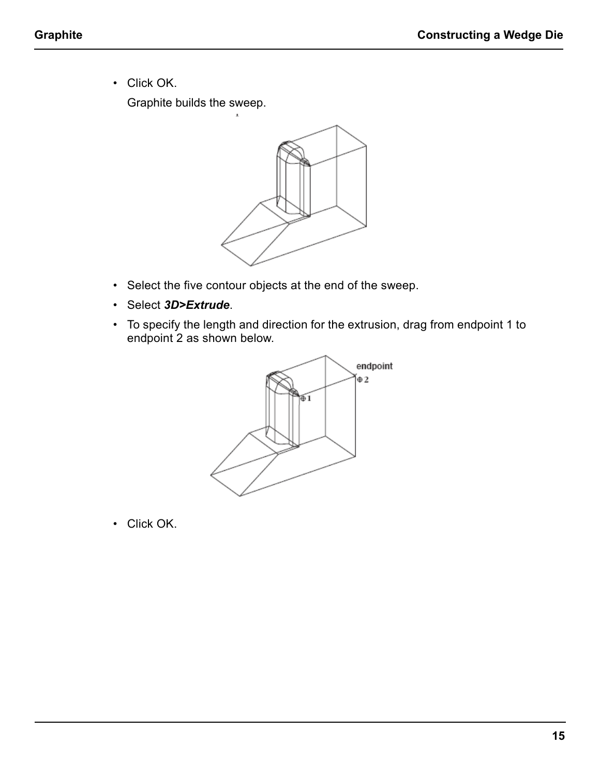• Click OK.

Graphite builds the sweep.



- Select the five contour objects at the end of the sweep.
- Select *3D>Extrude*.
- To specify the length and direction for the extrusion, drag from endpoint 1 to endpoint 2 as shown below.



• Click OK.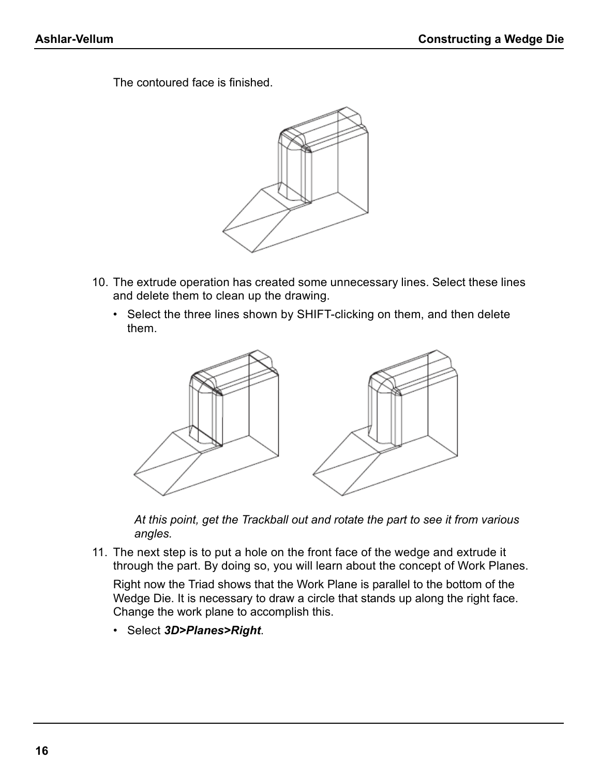The contoured face is finished.



- 10. The extrude operation has created some unnecessary lines. Select these lines and delete them to clean up the drawing.
	- Select the three lines shown by SHIFT-clicking on them, and then delete them.



*At this point, get the Trackball out and rotate the part to see it from various angles.*

11. The next step is to put a hole on the front face of the wedge and extrude it through the part. By doing so, you will learn about the concept of Work Planes.

Right now the Triad shows that the Work Plane is parallel to the bottom of the Wedge Die. It is necessary to draw a circle that stands up along the right face. Change the work plane to accomplish this.

• Select *3D>Planes>Right*.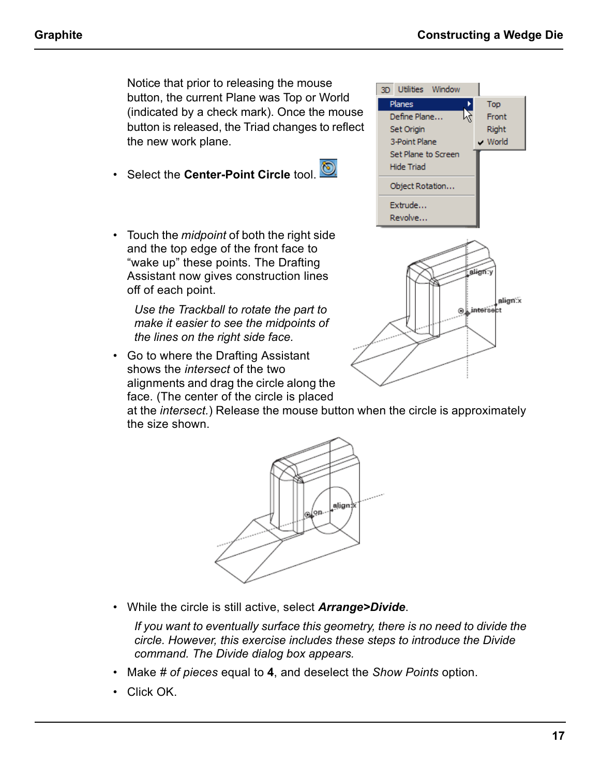Notice that prior to releasing the mouse button, the current Plane was Top or World (indicated by a check mark). Once the mouse button is released, the Triad changes to reflect the new work plane.

- Select the **Center-Point Circle** tool.
- Touch the *midpoint* of both the right side and the top edge of the front face to "wake up" these points. The Drafting Assistant now gives construction lines off of each point.

*Use the Trackball to rotate the part to make it easier to see the midpoints of the lines on the right side face.*

• Go to where the Drafting Assistant shows the *intersect* of the two alignments and drag the circle along the face. (The center of the circle is placed



at the *intersect.*) Release the mouse button when the circle is approximately the size shown.



• While the circle is still active, select *Arrange>Divide*.

*If you want to eventually surface this geometry, there is no need to divide the circle. However, this exercise includes these steps to introduce the Divide command. The Divide dialog box appears.*

- Make *# of pieces* equal to **4**, and deselect the *Show Points* option.
- Click OK.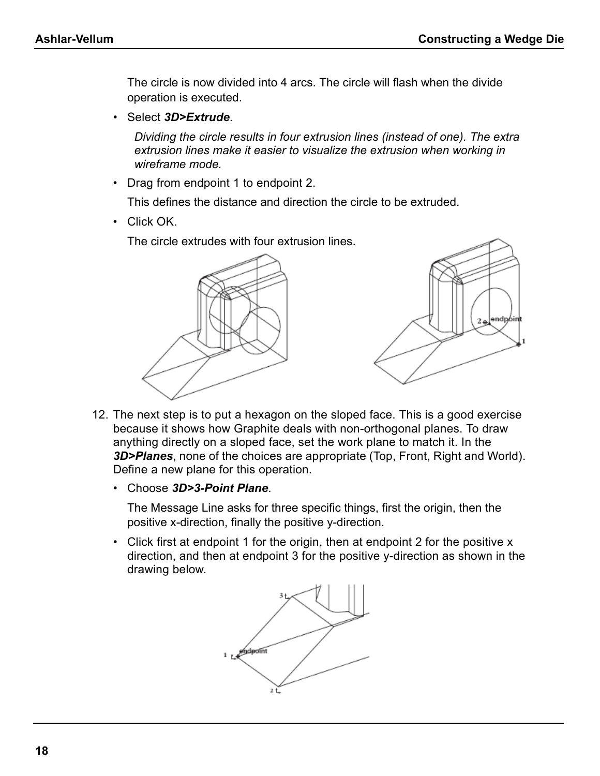The circle is now divided into 4 arcs. The circle will flash when the divide operation is executed.

• Select *3D>Extrude*.

*Dividing the circle results in four extrusion lines (instead of one). The extra extrusion lines make it easier to visualize the extrusion when working in wireframe mode.*

• Drag from endpoint 1 to endpoint 2.

This defines the distance and direction the circle to be extruded.

• Click OK.

The circle extrudes with four extrusion lines.



- 12. The next step is to put a hexagon on the sloped face. This is a good exercise because it shows how Graphite deals with non-orthogonal planes. To draw anything directly on a sloped face, set the work plane to match it. In the *3D>Planes*, none of the choices are appropriate (Top, Front, Right and World). Define a new plane for this operation.
	- Choose *3D>3-Point Plane*.

The Message Line asks for three specific things, first the origin, then the positive x-direction, finally the positive y-direction.

• Click first at endpoint 1 for the origin, then at endpoint 2 for the positive x direction, and then at endpoint 3 for the positive y-direction as shown in the drawing below.

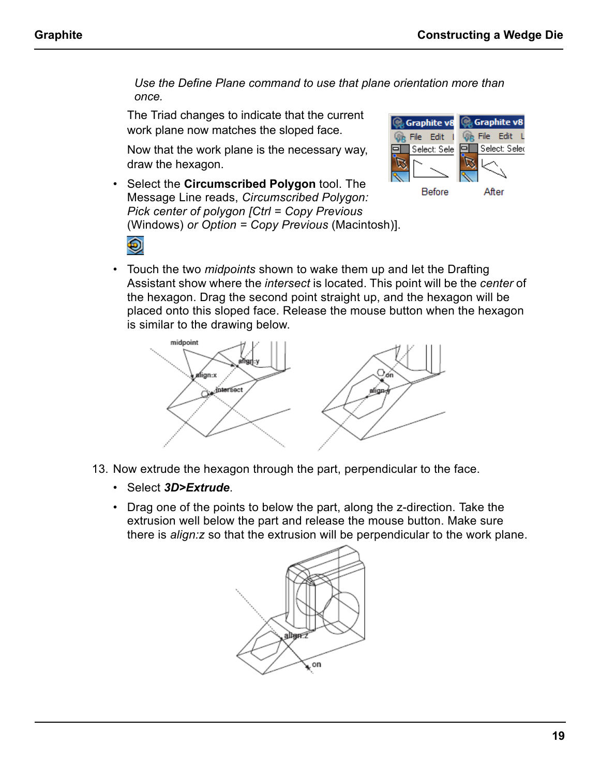*Use the Define Plane command to use that plane orientation more than once.*

The Triad changes to indicate that the current work plane now matches the sloped face.

Now that the work plane is the necessary way, draw the hexagon.

• Select the **Circumscribed Polygon** tool. The Message Line reads, *Circumscribed Polygon: Pick center of polygon [Ctrl = Copy Previous* (Windows) *or Option = Copy Previous* (Macintosh)].



• Touch the two *midpoints* shown to wake them up and let the Drafting Assistant show where the *intersect* is located. This point will be the *center* of the hexagon. Drag the second point straight up, and the hexagon will be placed onto this sloped face. Release the mouse button when the hexagon is similar to the drawing below.



- 13. Now extrude the hexagon through the part, perpendicular to the face.
	- Select *3D>Extrude*.
	- Drag one of the points to below the part, along the z-direction. Take the extrusion well below the part and release the mouse button. Make sure there is *align:z* so that the extrusion will be perpendicular to the work plane.

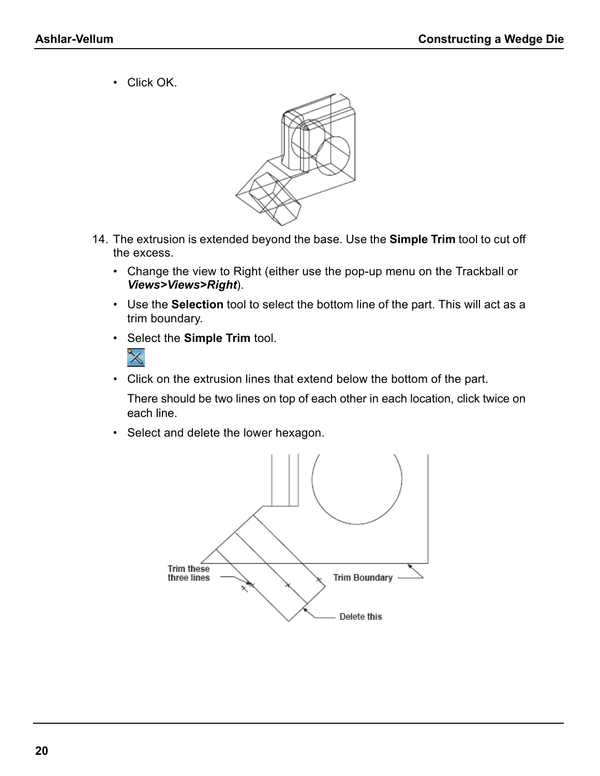• Click OK.



- 14. The extrusion is extended beyond the base. Use the **Simple Trim** tool to cut off the excess.
	- Change the view to Right (either use the pop-up menu on the Trackball or *Views>Views>Right*).
	- Use the **Selection** tool to select the bottom line of the part. This will act as a trim boundary.
	- Select the **Simple Trim** tool.



• Click on the extrusion lines that extend below the bottom of the part.

There should be two lines on top of each other in each location, click twice on each line.

• Select and delete the lower hexagon.

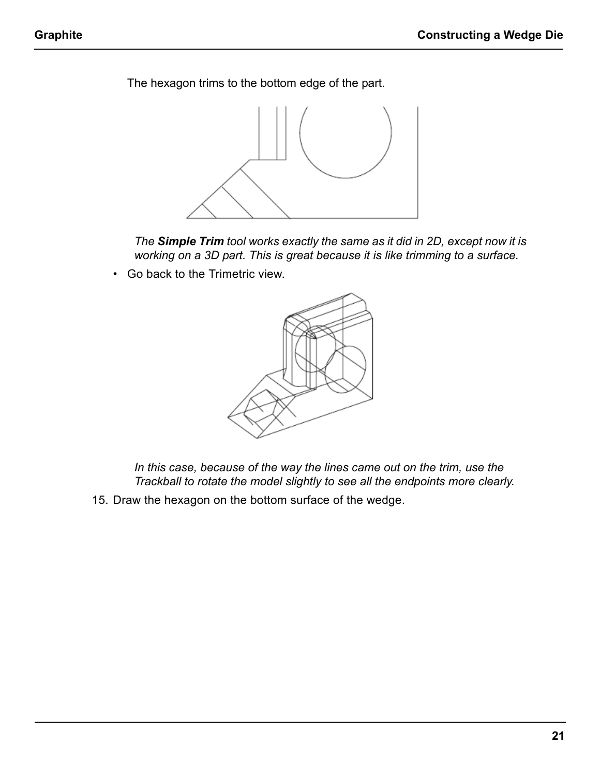The hexagon trims to the bottom edge of the part.



*The Simple Trim tool works exactly the same as it did in 2D, except now it is working on a 3D part. This is great because it is like trimming to a surface.*

• Go back to the Trimetric view.



*In this case, because of the way the lines came out on the trim, use the Trackball to rotate the model slightly to see all the endpoints more clearly.*

15. Draw the hexagon on the bottom surface of the wedge.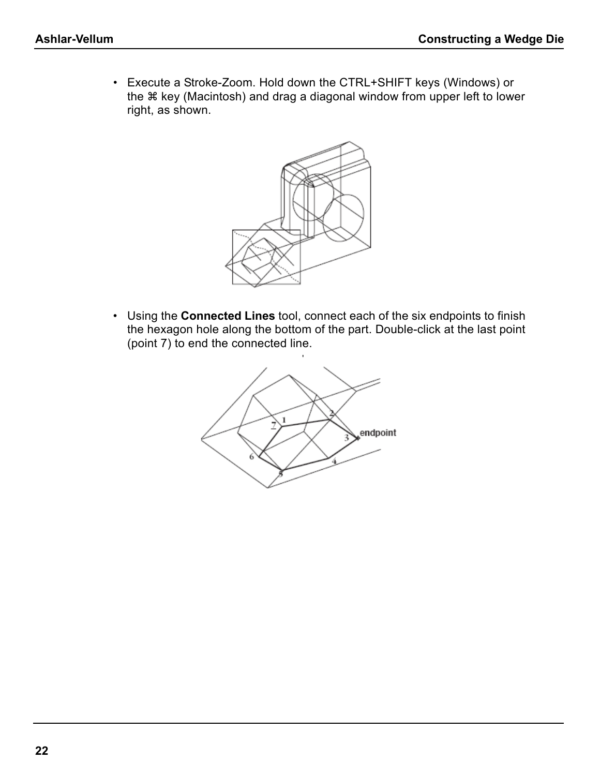• Execute a Stroke-Zoom. Hold down the CTRL+SHIFT keys (Windows) or the  $*$  key (Macintosh) and drag a diagonal window from upper left to lower right, as shown.



• Using the **Connected Lines** tool, connect each of the six endpoints to finish the hexagon hole along the bottom of the part. Double-click at the last point (point 7) to end the connected line.

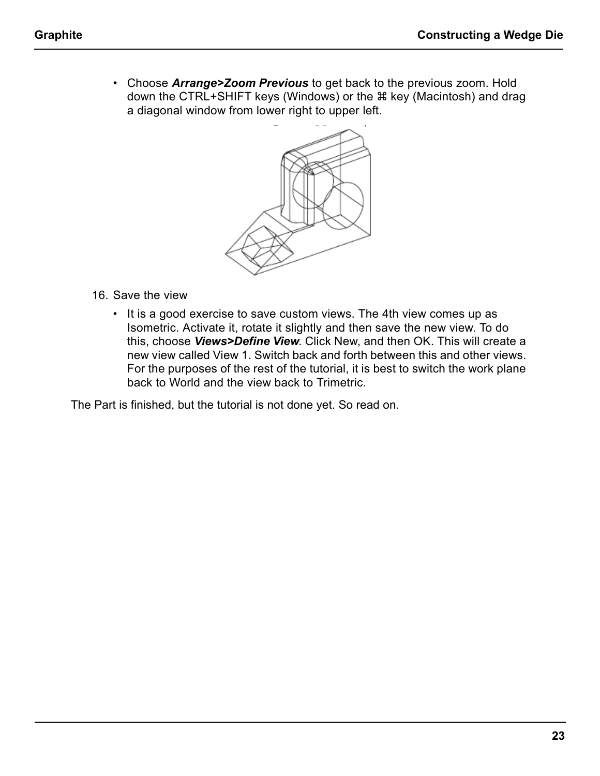• Choose *Arrange>Zoom Previous* to get back to the previous zoom. Hold down the CTRL+SHIFT keys (Windows) or the  $\#$  key (Macintosh) and drag a diagonal window from lower right to upper left.



- 16. Save the view
	- It is a good exercise to save custom views. The 4th view comes up as Isometric. Activate it, rotate it slightly and then save the new view. To do this, choose *Views>Define View*. Click New, and then OK. This will create a new view called View 1. Switch back and forth between this and other views. For the purposes of the rest of the tutorial, it is best to switch the work plane back to World and the view back to Trimetric.

The Part is finished, but the tutorial is not done yet. So read on.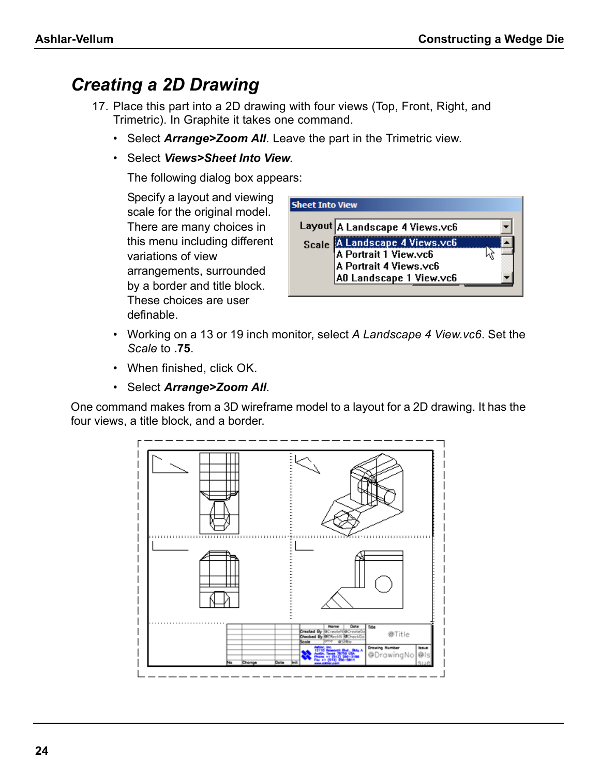### *Creating a 2D Drawing*

- 17. Place this part into a 2D drawing with four views (Top, Front, Right, and Trimetric). In Graphite it takes one command.
	- Select *Arrange>Zoom All*. Leave the part in the Trimetric view.
	- Select *Views>Sheet Into View*.

The following dialog box appears:

Specify a layout and viewing scale for the original model. There are many choices in this menu including different variations of view arrangements, surrounded by a border and title block. These choices are user definable.



- Working on a 13 or 19 inch monitor, select *A Landscape 4 View.vc6*. Set the *Scale* to **.75**.
- When finished, click OK.
- Select *Arrange>Zoom All*.

One command makes from a 3D wireframe model to a layout for a 2D drawing. It has the four views, a title block, and a border.

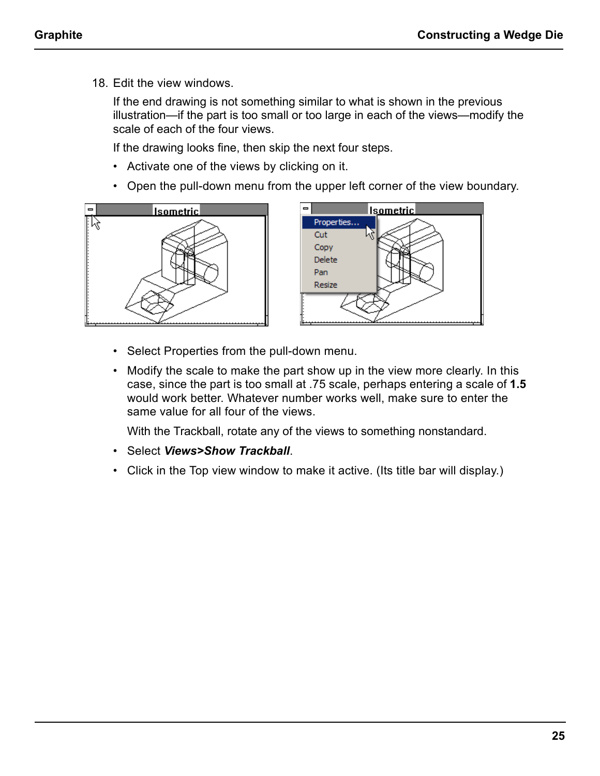18. Edit the view windows.

If the end drawing is not something similar to what is shown in the previous illustration—if the part is too small or too large in each of the views—modify the scale of each of the four views.

If the drawing looks fine, then skip the next four steps.

- Activate one of the views by clicking on it.
- Open the pull-down menu from the upper left corner of the view boundary.





- Select Properties from the pull-down menu.
- Modify the scale to make the part show up in the view more clearly. In this case, since the part is too small at .75 scale, perhaps entering a scale of **1.5** would work better. Whatever number works well, make sure to enter the same value for all four of the views.

With the Trackball, rotate any of the views to something nonstandard.

- Select *Views>Show Trackball*.
- Click in the Top view window to make it active. (Its title bar will display.)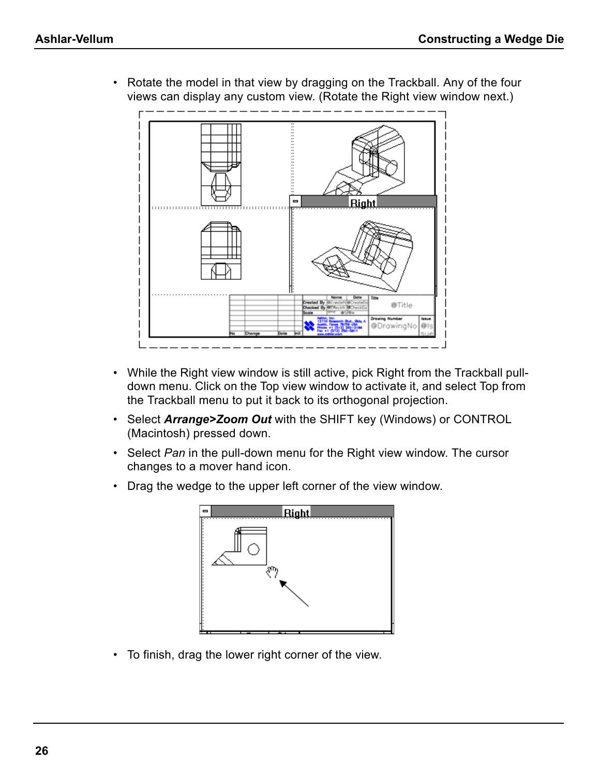- Diat @Title @DrawingNo @l
- Rotate the model in that view by dragging on the Trackball. Any of the four views can display any custom view. (Rotate the Right view window next.)

- While the Right view window is still active, pick Right from the Trackball pulldown menu. Click on the Top view window to activate it, and select Top from the Trackball menu to put it back to its orthogonal projection.
- Select *Arrange>Zoom Out* with the SHIFT key (Windows) or CONTROL (Macintosh) pressed down.
- Select *Pan* in the pull-down menu for the Right view window. The cursor changes to a mover hand icon.
- Drag the wedge to the upper left corner of the view window.



• To finish, drag the lower right corner of the view.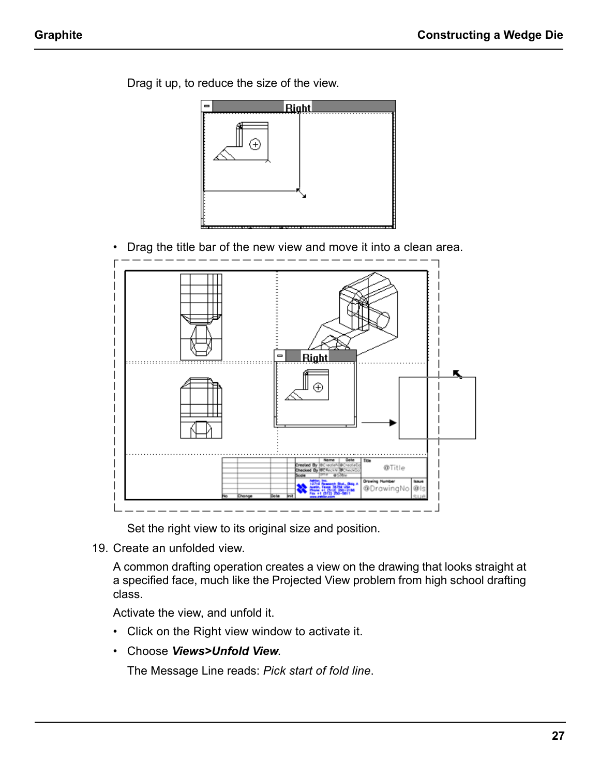

Drag it up, to reduce the size of the view.

• Drag the title bar of the new view and move it into a clean area.



Set the right view to its original size and position.

19. Create an unfolded view.

A common drafting operation creates a view on the drawing that looks straight at a specified face, much like the Projected View problem from high school drafting class.

Activate the view, and unfold it.

- Click on the Right view window to activate it.
- Choose *Views>Unfold View*.

The Message Line reads: *Pick start of fold line*.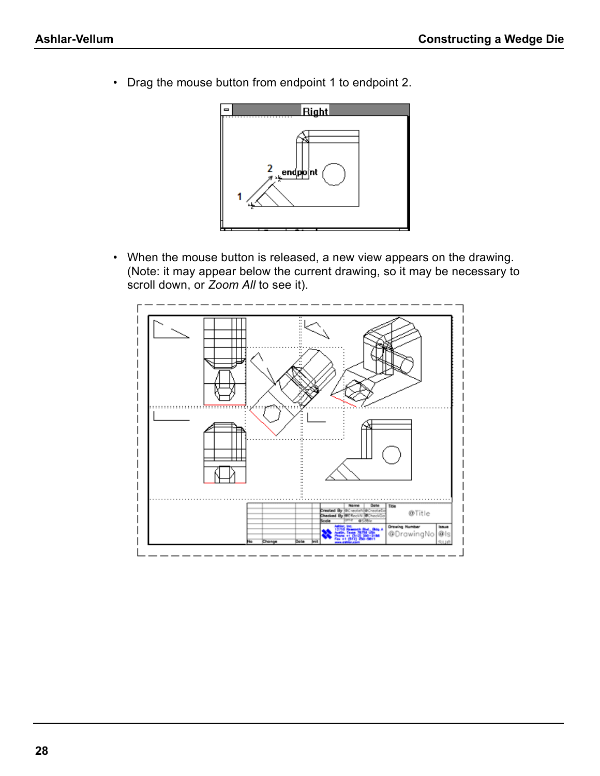• Drag the mouse button from endpoint 1 to endpoint 2.



• When the mouse button is released, a new view appears on the drawing. (Note: it may appear below the current drawing, so it may be necessary to scroll down, or *Zoom All* to see it).

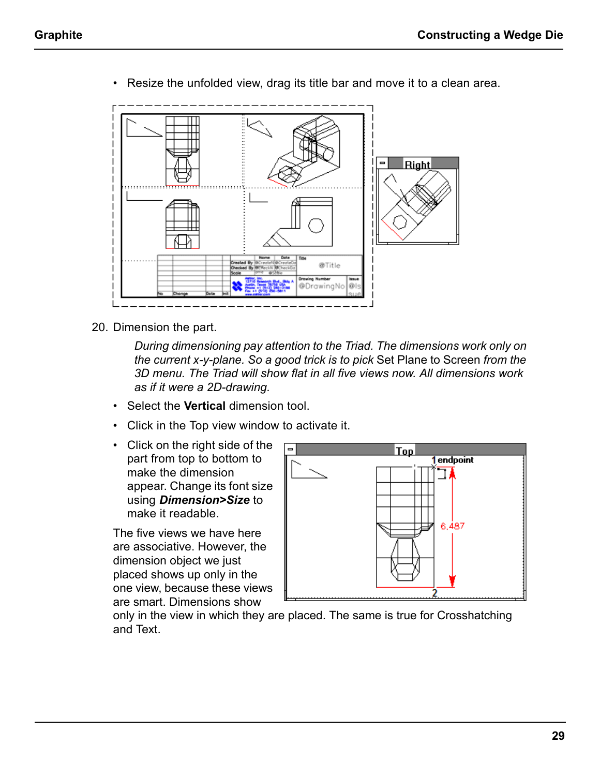- Right @Title ⊕DrawingNo
- Resize the unfolded view, drag its title bar and move it to a clean area.

20. Dimension the part.

*During dimensioning pay attention to the Triad. The dimensions work only on the current x-y-plane. So a good trick is to pick* Set Plane to Screen *from the 3D menu. The Triad will show flat in all five views now. All dimensions work as if it were a 2D-drawing.*

- Select the **Vertical** dimension tool.
- Click in the Top view window to activate it.
- Click on the right side of the part from top to bottom to make the dimension appear. Change its font size using *Dimension>Size* to make it readable.

The five views we have here are associative. However, the dimension object we just placed shows up only in the one view, because these views are smart. Dimensions show



only in the view in which they are placed. The same is true for Crosshatching and Text.